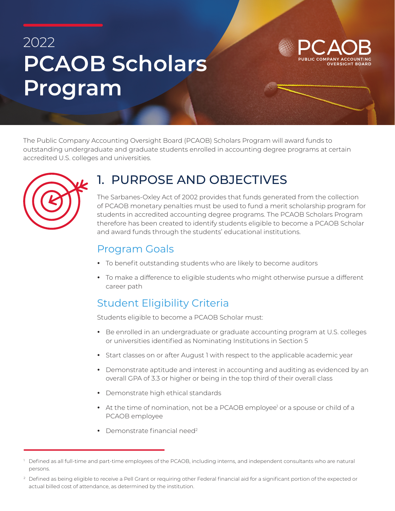# 2022 **PCAOB Scholars Program**

**OVERSIGHT BOARD** 

The Public Company Accounting Oversight Board (PCAOB) Scholars Program will award funds to outstanding undergraduate and graduate students enrolled in accounting degree programs at certain accredited U.S. colleges and universities.



## 1. PURPOSE AND OBJECTIVES

The Sarbanes-Oxley Act of 2002 provides that funds generated from the collection of PCAOB monetary penalties must be used to fund a merit scholarship program for students in accredited accounting degree programs. The PCAOB Scholars Program therefore has been created to identify students eligible to become a PCAOB Scholar and award funds through the students' educational institutions.

#### Program Goals

- To benefit outstanding students who are likely to become auditors
- To make a difference to eligible students who might otherwise pursue a different career path

#### Student Eligibility Criteria

Students eligible to become a PCAOB Scholar must:

- Be enrolled in an undergraduate or graduate accounting program at U.S. colleges or universities identified as Nominating Institutions in Section 5
- Start classes on or after August 1 with respect to the applicable academic year
- Demonstrate aptitude and interest in accounting and auditing as evidenced by an overall GPA of 3.3 or higher or being in the top third of their overall class
- Demonstrate high ethical standards
- $\bullet$  At the time of nomination, not be a PCAOB employee' or a spouse or child of a PCAOB employee
- Demonstrate financial need<sup>2</sup>

<sup>1</sup> Defined as all full-time and part-time employees of the PCAOB, including interns, and independent consultants who are natural persons.

<sup>&</sup>lt;sup>2</sup> Defined as being eligible to receive a Pell Grant or requiring other Federal financial aid for a significant portion of the expected or actual billed cost of attendance, as determined by the institution.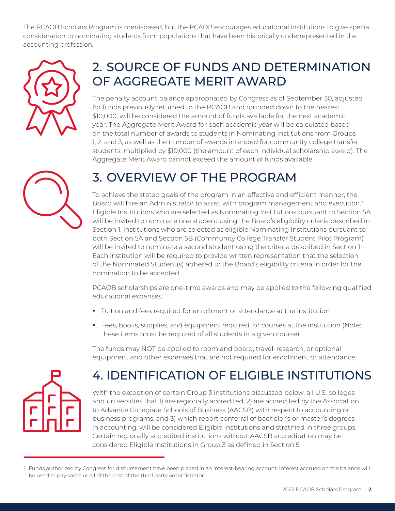The PCAOB Scholars Program is merit-based, but the PCAOB encourages educational institutions to give special consideration to nominating students from populations that have been historically underrepresented in the accounting profession.



## 2. SOURCE OF FUNDS AND DETERMINATION OF AGGREGATE MERIT AWARD

The penalty account balance appropriated by Congress as of September 30, adjusted for funds previously returned to the PCAOB and rounded down to the nearest \$10,000, will be considered the amount of funds available for the next academic year. The Aggregate Merit Award for each academic year will be calculated based on the total number of awards to students in Nominating Institutions from Groups 1, 2, and 3, as well as the number of awards intended for community college transfer students, multiplied by \$10,000 (the amount of each individual scholarship award). The Aggregate Merit Award cannot exceed the amount of funds available.

## 3. OVERVIEW OF THE PROGRAM

To achieve the stated goals of the program in an effective and efficient manner, the Board will hire an Administrator to assist with program management and execution.<sup>3</sup> Eligible Institutions who are selected as Nominating Institutions pursuant to Section 5A will be invited to nominate one student using the Board's eligibility criteria described in Section 1. Institutions who are selected as eligible Nominating Institutions pursuant to both Section 5A and Section 5B (Community College Transfer Student Pilot Program) will be invited to nominate a second student using the criteria described in Section 1. Each institution will be required to provide written representation that the selection of the Nominated Student(s) adhered to the Board's eligibility criteria in order for the nomination to be accepted.

PCAOB scholarships are one-time awards and may be applied to the following qualified educational expenses:

- Tuition and fees required for enrollment or attendance at the institution
- Fees, books, supplies, and equipment required for courses at the institution (Note: these items must be required of all students in a given course)

The funds may NOT be applied to room and board, travel, research, or optional equipment and other expenses that are not required for enrollment or attendance.



## 4. IDENTIFICATION OF ELIGIBLE INSTITUTIONS

With the exception of certain Group 3 institutions discussed below, all U.S. colleges and universities that 1) are regionally accredited, 2) are accredited by the Association to Advance Collegiate Schools of Business (AACSB) with respect to accounting or business programs, and 3) which report conferral of bachelor's or master's degrees in accounting, will be considered Eligible Institutions and stratified in three groups. Certain regionally accredited institutions without AACSB accreditation may be considered Eligible Institutions in Group 3 as defined in Section 5.

<sup>&</sup>lt;sup>3</sup> Funds authorized by Congress for disbursement have been placed in an interest-bearing account. Interest accrued on the balance will be used to pay some or all of the cost of the third party administrator.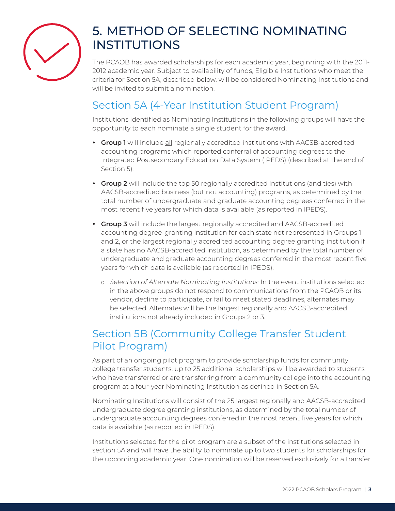

## 5. METHOD OF SELECTING NOMINATING INSTITUTIONS

The PCAOB has awarded scholarships for each academic year, beginning with the 2011- 2012 academic year. Subject to availability of funds, Eligible Institutions who meet the criteria for Section 5A, described below, will be considered Nominating Institutions and will be invited to submit a nomination.

#### Section 5A (4-Year Institution Student Program)

Institutions identified as Nominating Institutions in the following groups will have the opportunity to each nominate a single student for the award.

- **Group 1** will include all regionally accredited institutions with AACSB-accredited accounting programs which reported conferral of accounting degrees to the Integrated Postsecondary Education Data System (IPEDS) (described at the end of Section 5).
- **Group 2** will include the top 50 regionally accredited institutions (and ties) with AACSB-accredited business (but not accounting) programs, as determined by the total number of undergraduate and graduate accounting degrees conferred in the most recent five years for which data is available (as reported in IPEDS).
- **Group 3** will include the largest regionally accredited and AACSB-accredited accounting degree-granting institution for each state not represented in Groups 1 and 2, or the largest regionally accredited accounting degree granting institution if a state has no AACSB-accredited institution, as determined by the total number of undergraduate and graduate accounting degrees conferred in the most recent five years for which data is available (as reported in IPEDS).
	- o *Selection of Alternate Nominating Institutions:* In the event institutions selected in the above groups do not respond to communications from the PCAOB or its vendor, decline to participate, or fail to meet stated deadlines, alternates may be selected. Alternates will be the largest regionally and AACSB-accredited institutions not already included in Groups 2 or 3.

#### Section 5B (Community College Transfer Student Pilot Program)

As part of an ongoing pilot program to provide scholarship funds for community college transfer students, up to 25 additional scholarships will be awarded to students who have transferred or are transferring from a community college into the accounting program at a four-year Nominating Institution as defined in Section 5A.

Nominating Institutions will consist of the 25 largest regionally and AACSB-accredited undergraduate degree granting institutions, as determined by the total number of undergraduate accounting degrees conferred in the most recent five years for which data is available (as reported in IPEDS).

Institutions selected for the pilot program are a subset of the institutions selected in section 5A and will have the ability to nominate up to two students for scholarships for the upcoming academic year. One nomination will be reserved exclusively for a transfer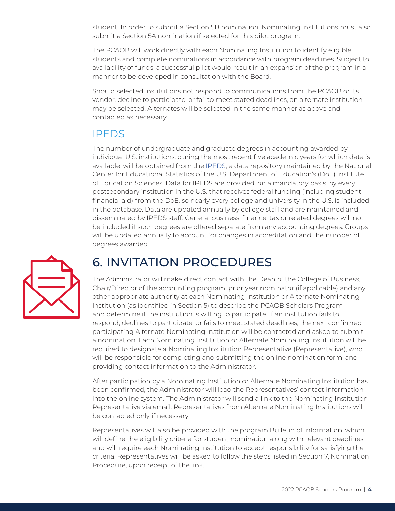student. In order to submit a Section 5B nomination, Nominating Institutions must also submit a Section 5A nomination if selected for this pilot program.

The PCAOB will work directly with each Nominating Institution to identify eligible students and complete nominations in accordance with program deadlines. Subject to availability of funds, a successful pilot would result in an expansion of the program in a manner to be developed in consultation with the Board.

Should selected institutions not respond to communications from the PCAOB or its vendor, decline to participate, or fail to meet stated deadlines, an alternate institution may be selected. Alternates will be selected in the same manner as above and contacted as necessary.

#### IPEDS

The number of undergraduate and graduate degrees in accounting awarded by individual U.S. institutions, during the most recent five academic years for which data is available, will be obtained from the [IPEDS](https://nces.ed.gov/ipeds/), a data repository maintained by the National Center for Educational Statistics of the U.S. Department of Education's (DoE) Institute of Education Sciences. Data for IPEDS are provided, on a mandatory basis, by every postsecondary institution in the U.S. that receives federal funding (including student financial aid) from the DoE, so nearly every college and university in the U.S. is included in the database. Data are updated annually by college staff and are maintained and disseminated by IPEDS staff. General business, finance, tax or related degrees will not be included if such degrees are offered separate from any accounting degrees. Groups will be updated annually to account for changes in accreditation and the number of degrees awarded.



#### 6. INVITATION PROCEDURES

The Administrator will make direct contact with the Dean of the College of Business, Chair/Director of the accounting program, prior year nominator (if applicable) and any other appropriate authority at each Nominating Institution or Alternate Nominating Institution (as identified in Section 5) to describe the PCAOB Scholars Program and determine if the institution is willing to participate. If an institution fails to respond, declines to participate, or fails to meet stated deadlines, the next confirmed participating Alternate Nominating Institution will be contacted and asked to submit a nomination. Each Nominating Institution or Alternate Nominating Institution will be required to designate a Nominating Institution Representative (Representative), who will be responsible for completing and submitting the online nomination form, and providing contact information to the Administrator.

After participation by a Nominating Institution or Alternate Nominating Institution has been confirmed, the Administrator will load the Representatives' contact information into the online system. The Administrator will send a link to the Nominating Institution Representative via email. Representatives from Alternate Nominating Institutions will be contacted only if necessary.

Representatives will also be provided with the program Bulletin of Information, which will define the eligibility criteria for student nomination along with relevant deadlines, and will require each Nominating Institution to accept responsibility for satisfying the criteria. Representatives will be asked to follow the steps listed in Section 7, Nomination Procedure, upon receipt of the link.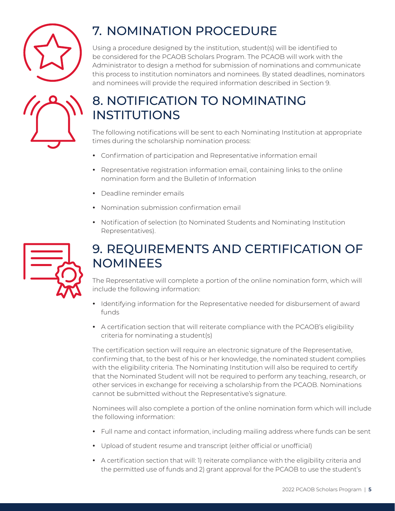



## 7. NOMINATION PROCEDURE

Using a procedure designed by the institution, student(s) will be identified to be considered for the PCAOB Scholars Program. The PCAOB will work with the Administrator to design a method for submission of nominations and communicate this process to institution nominators and nominees. By stated deadlines, nominators and nominees will provide the required information described in Section 9.

## 8. NOTIFICATION TO NOMINATING INSTITUTIONS

The following notifications will be sent to each Nominating Institution at appropriate times during the scholarship nomination process:

- Confirmation of participation and Representative information email
- Representative registration information email, containing links to the online nomination form and the Bulletin of Information
- Deadline reminder emails
- Nomination submission confirmation email
- Notification of selection (to Nominated Students and Nominating Institution Representatives).



## 9. REQUIREMENTS AND CERTIFICATION OF NOMINEES

The Representative will complete a portion of the online nomination form, which will include the following information:

- Identifying information for the Representative needed for disbursement of award funds
- y A certification section that will reiterate compliance with the PCAOB's eligibility criteria for nominating a student(s)

The certification section will require an electronic signature of the Representative, confirming that, to the best of his or her knowledge, the nominated student complies with the eligibility criteria. The Nominating Institution will also be required to certify that the Nominated Student will not be required to perform any teaching, research, or other services in exchange for receiving a scholarship from the PCAOB. Nominations cannot be submitted without the Representative's signature.

Nominees will also complete a portion of the online nomination form which will include the following information:

- Full name and contact information, including mailing address where funds can be sent
- Upload of student resume and transcript (either official or unofficial)
- A certification section that will: 1) reiterate compliance with the eligibility criteria and the permitted use of funds and 2) grant approval for the PCAOB to use the student's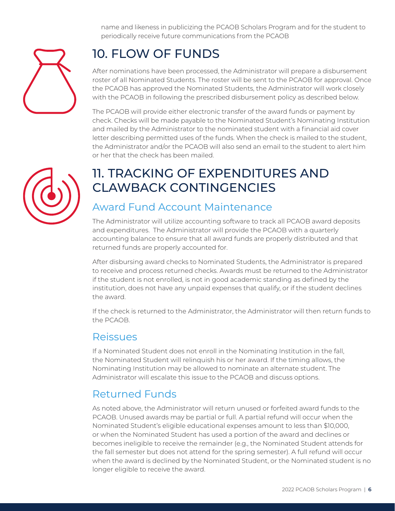name and likeness in publicizing the PCAOB Scholars Program and for the student to periodically receive future communications from the PCAOB



## 10. FLOW OF FUNDS

After nominations have been processed, the Administrator will prepare a disbursement roster of all Nominated Students. The roster will be sent to the PCAOB for approval. Once the PCAOB has approved the Nominated Students, the Administrator will work closely with the PCAOB in following the prescribed disbursement policy as described below.

The PCAOB will provide either electronic transfer of the award funds or payment by check. Checks will be made payable to the Nominated Student's Nominating Institution and mailed by the Administrator to the nominated student with a financial aid cover letter describing permitted uses of the funds. When the check is mailed to the student, the Administrator and/or the PCAOB will also send an email to the student to alert him or her that the check has been mailed.



#### 11. TRACKING OF EXPENDITURES AND CLAWBACK CONTINGENCIES

#### Award Fund Account Maintenance

The Administrator will utilize accounting software to track all PCAOB award deposits and expenditures. The Administrator will provide the PCAOB with a quarterly accounting balance to ensure that all award funds are properly distributed and that returned funds are properly accounted for.

After disbursing award checks to Nominated Students, the Administrator is prepared to receive and process returned checks. Awards must be returned to the Administrator if the student is not enrolled, is not in good academic standing as defined by the institution, does not have any unpaid expenses that qualify, or if the student declines the award.

If the check is returned to the Administrator, the Administrator will then return funds to the PCAOB.

#### Reissues

If a Nominated Student does not enroll in the Nominating Institution in the fall, the Nominated Student will relinquish his or her award. If the timing allows, the Nominating Institution may be allowed to nominate an alternate student. The Administrator will escalate this issue to the PCAOB and discuss options.

#### Returned Funds

As noted above, the Administrator will return unused or forfeited award funds to the PCAOB. Unused awards may be partial or full. A partial refund will occur when the Nominated Student's eligible educational expenses amount to less than \$10,000, or when the Nominated Student has used a portion of the award and declines or becomes ineligible to receive the remainder (e.g., the Nominated Student attends for the fall semester but does not attend for the spring semester). A full refund will occur when the award is declined by the Nominated Student, or the Nominated student is no longer eligible to receive the award.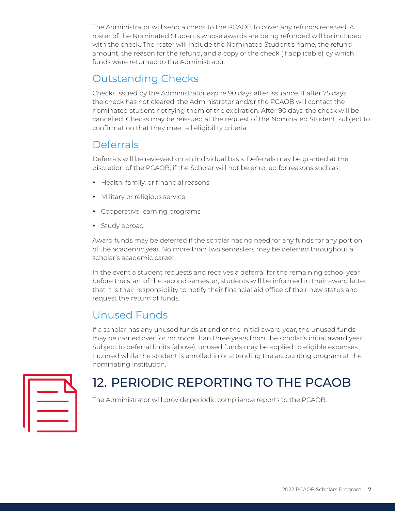The Administrator will send a check to the PCAOB to cover any refunds received. A roster of the Nominated Students whose awards are being refunded will be included with the check. The roster will include the Nominated Student's name, the refund amount, the reason for the refund, and a copy of the check (if applicable) by which funds were returned to the Administrator.

#### Outstanding Checks

Checks issued by the Administrator expire 90 days after issuance. If after 75 days, the check has not cleared, the Administrator and/or the PCAOB will contact the nominated student notifying them of the expiration. After 90 days, the check will be cancelled. Checks may be reissued at the request of the Nominated Student, subject to confirmation that they meet all eligibility criteria.

#### **Deferrals**

Deferrals will be reviewed on an individual basis. Deferrals may be granted at the discretion of the PCAOB, if the Scholar will not be enrolled for reasons such as:

- Health, family, or financial reasons
- Military or religious service
- Cooperative learning programs
- Study abroad

Award funds may be deferred if the scholar has no need for any funds for any portion of the academic year. No more than two semesters may be deferred throughout a scholar's academic career.

In the event a student requests and receives a deferral for the remaining school year before the start of the second semester, students will be informed in their award letter that it is their responsibility to notify their financial aid office of their new status and request the return of funds.

#### Unused Funds

If a scholar has any unused funds at end of the initial award year, the unused funds may be carried over for no more than three years from the scholar's initial award year. Subject to deferral limits (above), unused funds may be applied to eligible expenses incurred while the student is enrolled in or attending the accounting program at the nominating institution.



## 12. PERIODIC REPORTING TO THE PCAOB

The Administrator will provide periodic compliance reports to the PCAOB.